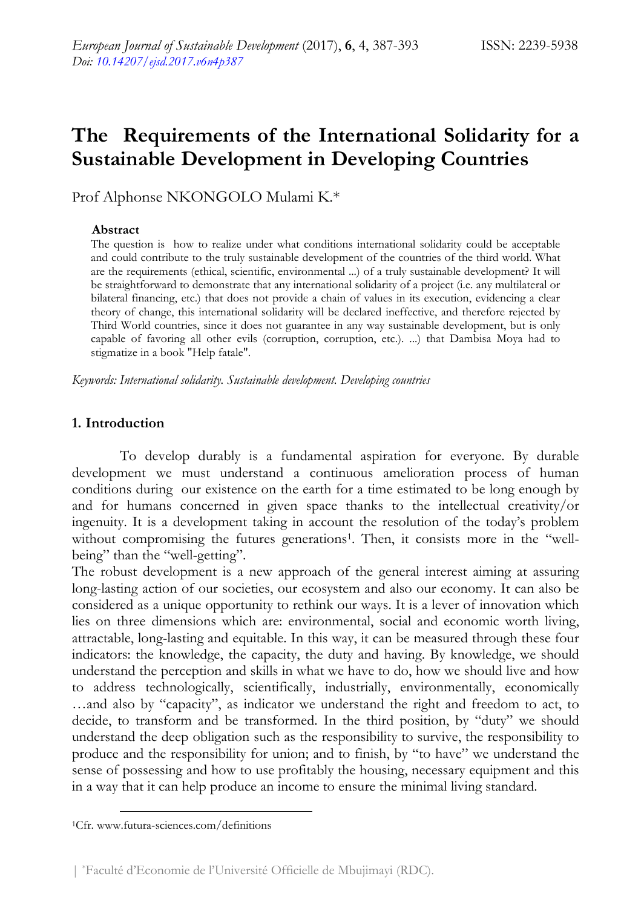# **The Requirements of the International Solidarity for a Sustainable Development in Developing Countries**

Prof Alphonse NKONGOLO Mulami K.\*

#### **Abstract**

The question is how to realize under what conditions international solidarity could be acceptable and could contribute to the truly sustainable development of the countries of the third world. What are the requirements (ethical, scientific, environmental ...) of a truly sustainable development? It will be straightforward to demonstrate that any international solidarity of a project (i.e. any multilateral or bilateral financing, etc.) that does not provide a chain of values in its execution, evidencing a clear theory of change, this international solidarity will be declared ineffective, and therefore rejected by Third World countries, since it does not guarantee in any way sustainable development, but is only capable of favoring all other evils (corruption, corruption, etc.). ...) that Dambisa Moya had to stigmatize in a book "Help fatale".

*Keywords: International solidarity. Sustainable development. Developing countries* 

## **1. Introduction**

To develop durably is a fundamental aspiration for everyone. By durable development we must understand a continuous amelioration process of human conditions during our existence on the earth for a time estimated to be long enough by and for humans concerned in given space thanks to the intellectual creativity/or ingenuity. It is a development taking in account the resolution of the today's problem without compromising the futures generations<sup>1</sup>. Then, it consists more in the "wellbeing" than the "well-getting".

The robust development is a new approach of the general interest aiming at assuring long-lasting action of our societies, our ecosystem and also our economy. It can also be considered as a unique opportunity to rethink our ways. It is a lever of innovation which lies on three dimensions which are: environmental, social and economic worth living, attractable, long-lasting and equitable. In this way, it can be measured through these four indicators: the knowledge, the capacity, the duty and having. By knowledge, we should understand the perception and skills in what we have to do, how we should live and how to address technologically, scientifically, industrially, environmentally, economically …and also by "capacity", as indicator we understand the right and freedom to act, to decide, to transform and be transformed. In the third position, by "duty" we should understand the deep obligation such as the responsibility to survive, the responsibility to produce and the responsibility for union; and to finish, by "to have" we understand the sense of possessing and how to use profitably the housing, necessary equipment and this in a way that it can help produce an income to ensure the minimal living standard.

 <sup>1</sup>Cfr. www.futura-sciences.com/definitions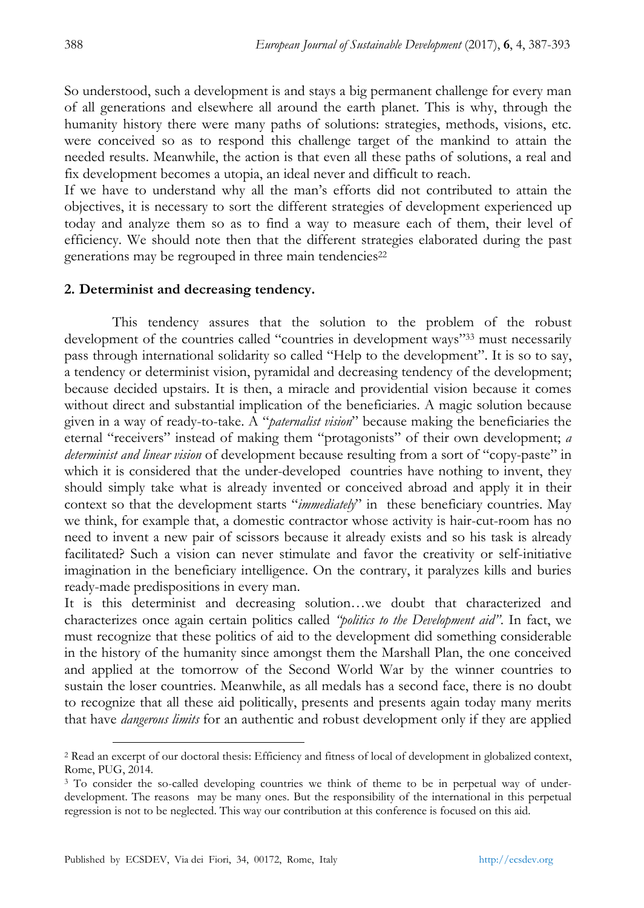So understood, such a development is and stays a big permanent challenge for every man of all generations and elsewhere all around the earth planet. This is why, through the humanity history there were many paths of solutions: strategies, methods, visions, etc. were conceived so as to respond this challenge target of the mankind to attain the needed results. Meanwhile, the action is that even all these paths of solutions, a real and fix development becomes a utopia, an ideal never and difficult to reach.

If we have to understand why all the man's efforts did not contributed to attain the objectives, it is necessary to sort the different strategies of development experienced up today and analyze them so as to find a way to measure each of them, their level of efficiency. We should note then that the different strategies elaborated during the past generations may be regrouped in three main tendencies<sup>22</sup>

#### **2. Determinist and decreasing tendency.**

This tendency assures that the solution to the problem of the robust development of the countries called "countries in development ways"33 must necessarily pass through international solidarity so called "Help to the development". It is so to say, a tendency or determinist vision, pyramidal and decreasing tendency of the development; because decided upstairs. It is then, a miracle and providential vision because it comes without direct and substantial implication of the beneficiaries. A magic solution because given in a way of ready-to-take. A "*paternalist vision*" because making the beneficiaries the eternal "receivers" instead of making them "protagonists" of their own development; *a determinist and linear vision* of development because resulting from a sort of "copy-paste" in which it is considered that the under-developed countries have nothing to invent, they should simply take what is already invented or conceived abroad and apply it in their context so that the development starts "*immediately*" in these beneficiary countries. May we think, for example that, a domestic contractor whose activity is hair-cut-room has no need to invent a new pair of scissors because it already exists and so his task is already facilitated? Such a vision can never stimulate and favor the creativity or self-initiative imagination in the beneficiary intelligence. On the contrary, it paralyzes kills and buries ready-made predispositions in every man.

It is this determinist and decreasing solution…we doubt that characterized and characterizes once again certain politics called *"politics to the Development aid"*. In fact, we must recognize that these politics of aid to the development did something considerable in the history of the humanity since amongst them the Marshall Plan, the one conceived and applied at the tomorrow of the Second World War by the winner countries to sustain the loser countries. Meanwhile, as all medals has a second face, there is no doubt to recognize that all these aid politically, presents and presents again today many merits that have *dangerous limits* for an authentic and robust development only if they are applied

 <sup>2</sup> Read an excerpt of our doctoral thesis: Efficiency and fitness of local of development in globalized context, Rome, PUG, 2014.

<sup>&</sup>lt;sup>3</sup> To consider the so-called developing countries we think of theme to be in perpetual way of underdevelopment. The reasons may be many ones. But the responsibility of the international in this perpetual regression is not to be neglected. This way our contribution at this conference is focused on this aid.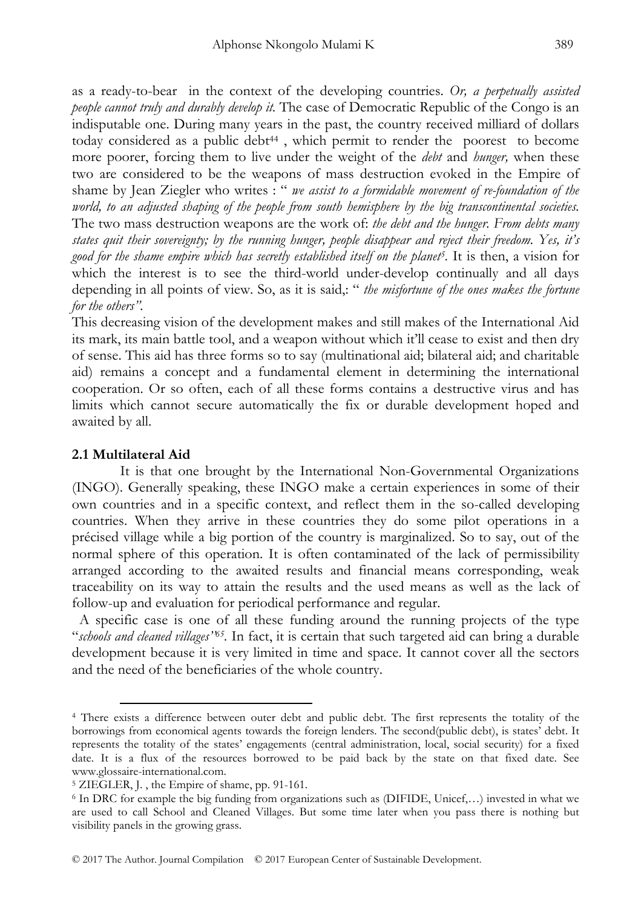as a ready-to-bear in the context of the developing countries. *Or, a perpetually assisted people cannot truly and durably develop it.* The case of Democratic Republic of the Congo is an indisputable one. During many years in the past, the country received milliard of dollars today considered as a public debt<sup>44</sup>, which permit to render the poorest to become more poorer, forcing them to live under the weight of the *debt* and *hunger,* when these two are considered to be the weapons of mass destruction evoked in the Empire of shame by Jean Ziegler who writes : " *we assist to a formidable movement of re-foundation of the world, to an adjusted shaping of the people from south hemisphere by the big transcontinental societies.*  The two mass destruction weapons are the work of: *the debt and the hunger. From debts many states quit their sovereignty; by the running hunger, people disappear and reject their freedom. Yes, it's good for the shame empire which has secretly established itself on the planet5.* It is then, a vision for which the interest is to see the third-world under-develop continually and all days depending in all points of view. So, as it is said,: " *the misfortune of the ones makes the fortune for the others".* 

This decreasing vision of the development makes and still makes of the International Aid its mark, its main battle tool, and a weapon without which it'll cease to exist and then dry of sense. This aid has three forms so to say (multinational aid; bilateral aid; and charitable aid) remains a concept and a fundamental element in determining the international cooperation. Or so often, each of all these forms contains a destructive virus and has limits which cannot secure automatically the fix or durable development hoped and awaited by all.

## **2.1 Multilateral Aid**

It is that one brought by the International Non-Governmental Organizations (INGO). Generally speaking, these INGO make a certain experiences in some of their own countries and in a specific context, and reflect them in the so-called developing countries. When they arrive in these countries they do some pilot operations in a précised village while a big portion of the country is marginalized. So to say, out of the normal sphere of this operation. It is often contaminated of the lack of permissibility arranged according to the awaited results and financial means corresponding, weak traceability on its way to attain the results and the used means as well as the lack of follow-up and evaluation for periodical performance and regular.

 A specific case is one of all these funding around the running projects of the type "*schools and cleaned villages''65.* In fact, it is certain that such targeted aid can bring a durable development because it is very limited in time and space. It cannot cover all the sectors and the need of the beneficiaries of the whole country.

 <sup>4</sup> There exists a difference between outer debt and public debt. The first represents the totality of the borrowings from economical agents towards the foreign lenders. The second(public debt), is states' debt. It represents the totality of the states' engagements (central administration, local, social security) for a fixed date. It is a flux of the resources borrowed to be paid back by the state on that fixed date. See www.glossaire-international.com.<br><sup>5</sup> ZIEGLER, J., the Empire of shame, pp. 91-161.

 $6$  In DRC for example the big funding from organizations such as (DIFIDE, Unicef,...) invested in what we are used to call School and Cleaned Villages. But some time later when you pass there is nothing but visibility panels in the growing grass.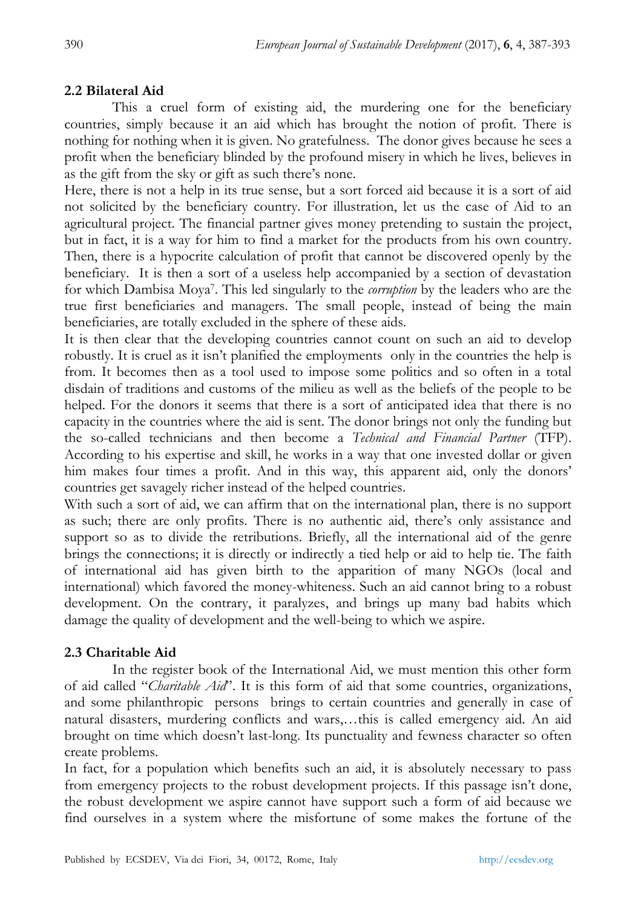### **2.2 Bilateral Aid**

This a cruel form of existing aid, the murdering one for the beneficiary countries, simply because it an aid which has brought the notion of profit. There is nothing for nothing when it is given. No gratefulness. The donor gives because he sees a profit when the beneficiary blinded by the profound misery in which he lives, believes in as the gift from the sky or gift as such there's none.

Here, there is not a help in its true sense, but a sort forced aid because it is a sort of aid not solicited by the beneficiary country. For illustration, let us the case of Aid to an agricultural project. The financial partner gives money pretending to sustain the project, but in fact, it is a way for him to find a market for the products from his own country. Then, there is a hypocrite calculation of profit that cannot be discovered openly by the beneficiary. It is then a sort of a useless help accompanied by a section of devastation for which Dambisa Moya7. This led singularly to the *corruption* by the leaders who are the true first beneficiaries and managers. The small people, instead of being the main beneficiaries, are totally excluded in the sphere of these aids.

It is then clear that the developing countries cannot count on such an aid to develop robustly. It is cruel as it isn't planified the employments only in the countries the help is from. It becomes then as a tool used to impose some politics and so often in a total disdain of traditions and customs of the milieu as well as the beliefs of the people to be helped. For the donors it seems that there is a sort of anticipated idea that there is no capacity in the countries where the aid is sent. The donor brings not only the funding but the so-called technicians and then become a *Technical and Financial Partner* (TFP). According to his expertise and skill, he works in a way that one invested dollar or given him makes four times a profit. And in this way, this apparent aid, only the donors' countries get savagely richer instead of the helped countries.

With such a sort of aid, we can affirm that on the international plan, there is no support as such; there are only profits. There is no authentic aid, there's only assistance and support so as to divide the retributions. Briefly, all the international aid of the genre brings the connections; it is directly or indirectly a tied help or aid to help tie. The faith of international aid has given birth to the apparition of many NGOs (local and international) which favored the money-whiteness. Such an aid cannot bring to a robust development. On the contrary, it paralyzes, and brings up many bad habits which damage the quality of development and the well-being to which we aspire.

## **2.3 Charitable Aid**

In the register book of the International Aid, we must mention this other form of aid called "*Charitable Aid*". It is this form of aid that some countries, organizations, and some philanthropic persons brings to certain countries and generally in case of natural disasters, murdering conflicts and wars,…this is called emergency aid. An aid brought on time which doesn't last-long. Its punctuality and fewness character so often create problems.

In fact, for a population which benefits such an aid, it is absolutely necessary to pass from emergency projects to the robust development projects. If this passage isn't done, the robust development we aspire cannot have support such a form of aid because we find ourselves in a system where the misfortune of some makes the fortune of the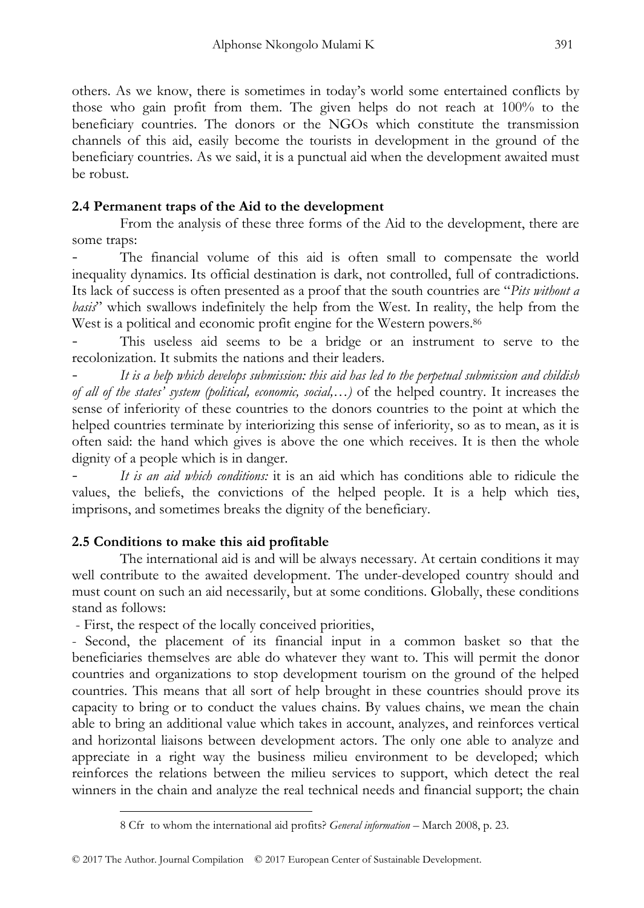others. As we know, there is sometimes in today's world some entertained conflicts by those who gain profit from them. The given helps do not reach at 100% to the beneficiary countries. The donors or the NGOs which constitute the transmission channels of this aid, easily become the tourists in development in the ground of the beneficiary countries. As we said, it is a punctual aid when the development awaited must be robust.

# **2.4 Permanent traps of the Aid to the development**

From the analysis of these three forms of the Aid to the development, there are some traps:

The financial volume of this aid is often small to compensate the world inequality dynamics. Its official destination is dark, not controlled, full of contradictions. Its lack of success is often presented as a proof that the south countries are "*Pits without a basis*" which swallows indefinitely the help from the West. In reality, the help from the West is a political and economic profit engine for the Western powers.<sup>86</sup>

- This useless aid seems to be a bridge or an instrument to serve to the recolonization. It submits the nations and their leaders.

- *It is a help which develops submission: this aid has led to the perpetual submission and childish of all of the states' system (political, economic, social,…)* of the helped country. It increases the sense of inferiority of these countries to the donors countries to the point at which the helped countries terminate by interiorizing this sense of inferiority, so as to mean, as it is often said: the hand which gives is above the one which receives. It is then the whole dignity of a people which is in danger.

It is an aid which conditions: it is an aid which has conditions able to ridicule the values, the beliefs, the convictions of the helped people. It is a help which ties, imprisons, and sometimes breaks the dignity of the beneficiary.

# **2.5 Conditions to make this aid profitable**

The international aid is and will be always necessary. At certain conditions it may well contribute to the awaited development. The under-developed country should and must count on such an aid necessarily, but at some conditions. Globally, these conditions stand as follows:

- First, the respect of the locally conceived priorities,

- Second, the placement of its financial input in a common basket so that the beneficiaries themselves are able do whatever they want to. This will permit the donor countries and organizations to stop development tourism on the ground of the helped countries. This means that all sort of help brought in these countries should prove its capacity to bring or to conduct the values chains. By values chains, we mean the chain able to bring an additional value which takes in account, analyzes, and reinforces vertical and horizontal liaisons between development actors. The only one able to analyze and appreciate in a right way the business milieu environment to be developed; which reinforces the relations between the milieu services to support, which detect the real winners in the chain and analyze the real technical needs and financial support; the chain

 $\overline{a}$ 8 Cfr to whom the international aid profits? *General information* – March 2008, p. 23.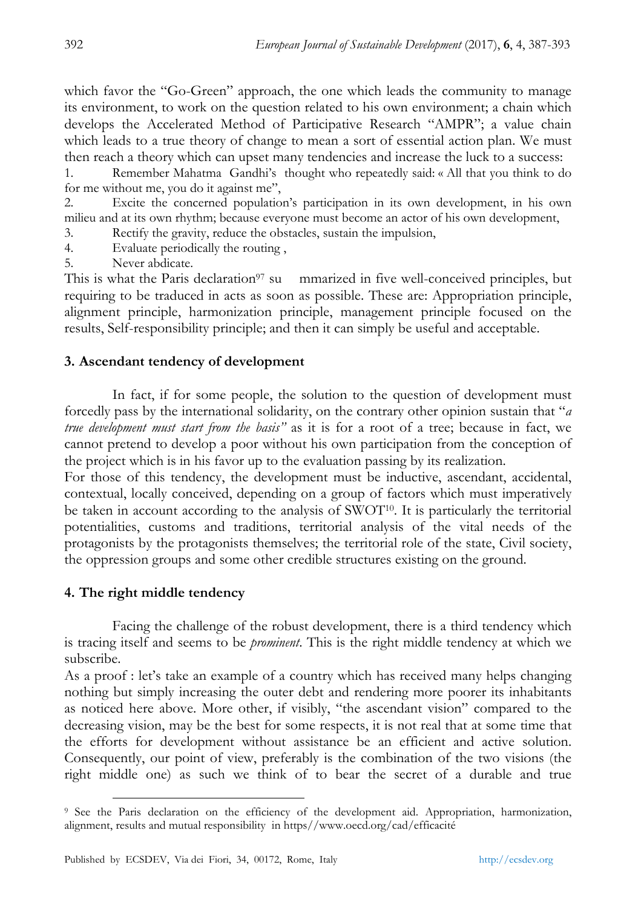which favor the "Go-Green" approach, the one which leads the community to manage its environment, to work on the question related to his own environment; a chain which develops the Accelerated Method of Participative Research "AMPR"; a value chain which leads to a true theory of change to mean a sort of essential action plan. We must then reach a theory which can upset many tendencies and increase the luck to a success:

1. Remember Mahatma Gandhi's thought who repeatedly said: « All that you think to do for me without me, you do it against me",

2. Excite the concerned population's participation in its own development, in his own milieu and at its own rhythm; because everyone must become an actor of his own development,

3. Rectify the gravity, reduce the obstacles, sustain the impulsion,

4. Evaluate periodically the routing ,

5. Never abdicate.

This is what the Paris declaration<sup>97</sup> su mmarized in five well-conceived principles, but requiring to be traduced in acts as soon as possible. These are: Appropriation principle, alignment principle, harmonization principle, management principle focused on the results, Self-responsibility principle; and then it can simply be useful and acceptable.

## **3. Ascendant tendency of development**

In fact, if for some people, the solution to the question of development must forcedly pass by the international solidarity, on the contrary other opinion sustain that "*a true development must start from the basis"* as it is for a root of a tree; because in fact, we cannot pretend to develop a poor without his own participation from the conception of the project which is in his favor up to the evaluation passing by its realization.

For those of this tendency, the development must be inductive, ascendant, accidental, contextual, locally conceived, depending on a group of factors which must imperatively be taken in account according to the analysis of  $\text{SWOT}^{10}$ . It is particularly the territorial potentialities, customs and traditions, territorial analysis of the vital needs of the protagonists by the protagonists themselves; the territorial role of the state, Civil society, the oppression groups and some other credible structures existing on the ground.

# **4. The right middle tendency**

Facing the challenge of the robust development, there is a third tendency which is tracing itself and seems to be *prominent*. This is the right middle tendency at which we subscribe.

As a proof : let's take an example of a country which has received many helps changing nothing but simply increasing the outer debt and rendering more poorer its inhabitants as noticed here above. More other, if visibly, "the ascendant vision" compared to the decreasing vision, may be the best for some respects, it is not real that at some time that the efforts for development without assistance be an efficient and active solution. Consequently, our point of view, preferably is the combination of the two visions (the right middle one) as such we think of to bear the secret of a durable and true

 <sup>9</sup> See the Paris declaration on the efficiency of the development aid. Appropriation, harmonization, alignment, results and mutual responsibility in https//www.oecd.org/cad/efficacité